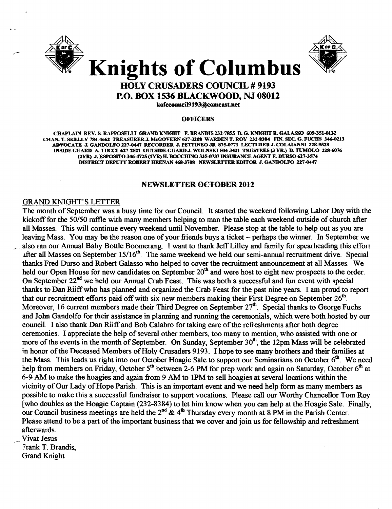



### HOLY CRUSADERS COUNCIL # 9193 P.O. BOX 1536 BLACKWOOD, NJ 08012

kofcoooncil9193@comcast.net

#### **OFFICERS**

CHAPLAIN REV. S. RAPPOSELLI GRAND KNIGHT F. BRANDIS 232-7855 D. G. KNIGHT R. GALASSO 609-351-0132 CHAN. T. SKELLY 784-4662 TREASURER J. McGOVERN 627-3208 WARDEN T. ROY 232-8384 FIN. SEC. G. FUCHS 346-0213 ADVOCATE J. GANDOLFO 227-0447 RECORDER J. PETTINEO JR 875-0771 LECTURER J. COLAIANNI 228-9528 INSIDE GUARD A. TUCCI 627-2521 OUTSIDE GUARD J. WOLNSKI 504-3421 TRUSTEES (3 YR.) D. TUMOLO 228-6076 (2YR) J. ESPOsrro (lYR) H. BOCCHINO 335-0737 INSURANCE AGENT F. DURSO 617-3574 DISTRICT DEPUTY ROBERT HEENAN 468-3708 NEWSLETTER EDITOR J. GANDOLFO 227-0447

#### NEWSLETTER OCTOBER 2012

#### GRAND KNIGHT'S LETTER

The month of September was a busy time for our Council. It started the weekend following Labor Day with the kickoff for the 50/50 raffle with many members helping to man the table each weekend outside of church after all Masses. This will continue every weekend until November. Please stop at the table to help out as you are leaving Mass. You may be the reason one of your friends buys a ticket – perhaps the winner. In September we also ran our Annual Baby Bottle Boomerang. I want to thank Jeff Lilley and family for spearheading this effort after all Masses on September 15/16<sup>th</sup>. The same weekend we held our semi-annual recruitment drive. Special thanks Fred Durso and Robert Galasso who helped to cover the recruitment announcement at all Masses. We held our Open House for new candidates on September 20<sup>th</sup> and were host to eight new prospects to the order. On September 22<sup>nd</sup> we held our Annual Crab Feast. This was both a successful and fun event with special thanks to Dan Riiffwho has planned and organized the Crab Feast for the past nine years. I am proud to report that our recruitment efforts paid off with six new members making their First Degree on September  $26<sup>th</sup>$ . Moreover, 16 current members made their Third Degree on September  $27<sup>th</sup>$ . Special thanks to George Fuchs and John Gandolfo for their assistance in planning and running the ceremonials, which were both hosted by our council. I also thank Dan Riiff and Bob Calabro for taking care of the refreshments after both degree ceremonies. I appreciate the help of several other members, too many to mention, who assisted with one or more of the events in the month of September. On Sunday, September 30<sup>th</sup>, the 12pm Mass will be celebrated in honor of the Deceased Members of Holy Crusaders 9193. I hope to see many brothers and their families at the Mass. This leads us right into our October Hoagie Sale to support our Seminarians on October 6<sup>th</sup>. We need help from members on Friday, October 5<sup>th</sup> between 2-6 PM for prep work and again on Saturday, October 6<sup>th</sup> at 6-9 AM to make the hoagies and again from 9 AM to IPM to sell hoagies at several locations within the vicinity of Our Lady of Hope Parish. This is an important event and we need help form as many members as possible to make this a successful fundraiser to support vocations. Please call our Worthy Chancellor Tom Roy [who doubles as the Hoagie Captain (232-8384) to let him know when you can help at the Hoagie Sale. Finally, our Council business meetings are held the  $2<sup>nd</sup> \& 4<sup>th</sup>$  Thursday every month at 8 PM in the Parish Center. Please attend to be a part of the important business that we cover and join us for fellowship and refreshment afterwards.

Vivat Jesus

Frank T. Brandis, Grand Knight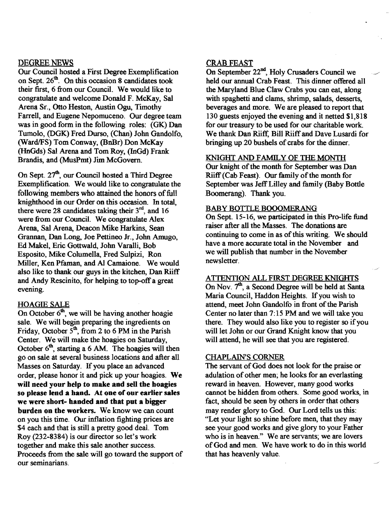#### DEGREE NEWS

Our Council hosted a First Degree Exemplification on Sept. 26<sup>th</sup>. On this occasion 8 candidates took their first, 6 from our Council. We would like to congratulate and welcome Donald F. McKay, Sal Arena Sr., Otto Heston, Austin Ogu, Timothy Farrell, and Eugene Nepomuceno. Our degree team was in good form in the following roles: (GK) Dan Tumolo, (DGK) Fred Durso, (Chan) John Gandolfo, (Ward/FS) Tom Conway, (BnBr) Don McKay (HnGds) Sal Arena and Tom Roy, (lnGd) Frank Brandis, and (MusPmt) Jim McGovern.

On Sept. 27<sup>th</sup>, our Council hosted a Third Degree Exemplification. We would like to congratulate the following members who attained the honors of full knighthood in our Order on this occasion. In total, there were 28 candidates taking their  $3<sup>rd</sup>$ , and 16 were from our Council. We congratulate Alex Arena, Sal Arena, Deacon Mike Harkins, Sean Grannan, Dan Long, Joe Pettineo Jr., John Amugo, Ed Makel, Eric Gottwald, John Varalli, Bob Esposito, Mike Columella, Fred Sulpizi, Ron Miller, Ken Pfaman, and Al Camaione. We would also like to thank our guys in the kitchen, Dan Riiff and Andy Rescinito, for helping to top-off a great evening.

#### **HOAGIE SALE**

On October  $6<sup>th</sup>$ , we will be having another hoagie sale. We will begin preparing the ingredients on Friday, October  $5<sup>th</sup>$ , from 2 to 6 PM in the Parish Center. We will make the hoagies on Saturday, October  $6<sup>th</sup>$ , starting a 6 AM. The hoagies will then go on sale at several business locations and after all Masses on Saturday. If you place an advanced order, please honor it and pick up your hoagies. We will need your help to make and sell the hoagies so please lend a hand. At one of our earlier sales we were short- handed and that put a bigger burden on the workers. We know we can count on you this time. Our inflation fighting prices are \$4 each and that is still a pretty good deal. Tom Roy (232-8384) is our director so let's work together and make this sale another success. Proceeds from the sale will go toward the support of our seminarians.

#### CRAB FEAST

On September  $22<sup>nd</sup>$ , Holy Crusaders Council we held our annual Crab Feast. This dinner offered all the Maryland Blue Claw Crabs you can eat, along with spaghetti and clams, shrimp, salads, desserts, beverages and more. We are pleased to report that 130 guests enjoyed the evening and it netted \$1,818 for our treasury to be used for our charitable work. We thank Dan Riiff, Bill Riiff and Dave Lusardi for bringing up 20 bushels of crabs for the dinner.

### KNIGHT AND FAMILY OF THE MONTH

Our knight of the month for September was Dan Riiff (Cab Feast). Our family of the month for September was Jeff Lilley and family (Baby Bottle Boomerang). Thank you.

#### BABY BOTTLE BOOOMERANG

On Sept. 15-16, we participated in this Pro-life fund raiser after all the Masses. The donations are continuing to come in as of this writing. We should have a more accurate total in the November and we will publish that number in the November newsletter.

#### ATTENTION ALL FIRST DEGREE KNIGHTS

On Nov. 7<sup>th</sup>, a Second Degree will be held at Santa Maria Council, Haddon Heights. If you wish to attend, meet John Gandolfo in front of the Parish Center no later than 7: 15 PM and we will take you there. They would also like you to register so if you will let John or our Grand Knight know that you will attend, he will see that you are registered.

#### CHAPLAIN'S CORNER

The servant of God does not look for the praise or adulation of other men; he looks for an everlasting reward in heaven. However, many good works cannot be hidden from others. Some good works, in fact, should be seen by others in order that others may render glory to God. Our Lord tells us this: "Let your light so shine before men, that they may see your good works and give glory to your Father who is in heaven." We are servants; we are lovers of God and men. We have work to do in this world that has heavenly value.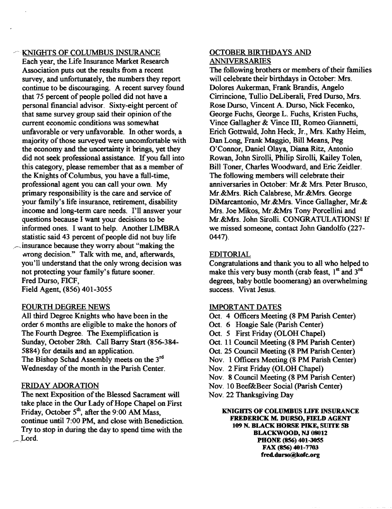#### KNIGHTS OF COLUMBUS INSURANCE

Each year, the Life Insurance Market Research Association puts out the resuhs from a recent survey, and unfortunately, the numbers they report continue to be discouraging. A recent survey found that 75 percent of people polled did not have a personal financial advisor. Sixty-eight percent of that same survey group said their opinion of the current economic conditions was somewhat unfavorable or very unfavorable. In other words, a majority of those surveyed were uncomfortable with the economy and the uncertainty it brings, yet they did not seek professional assistance. If you fall into this category, please remember that as a member of the Knights of Columbus, you have a full-time, professional agent you can call your own. My primary responsibility is the care and service of your family's life insurance, retirement, disability income and long-term care needs. I'll answer your questions because I want your decisions to be informed ones. I want to help. Another UMBRA statistic said 43 percent of people did not buy life insurance because they worry about "making the wrong decision." Talk with me, and, afterwards, you'll understand that the only wrong decision was not protecting your family's future sooner. Fred Durso, FICF,

Field Agent, (856) 401-3055

#### FOURTH DEGREE NEWS

All third Degree Knights who have been in the order 6 months are eligible to make the honors of The Fourth Degree. The Exemplification is Sunday, October 28th. Call Barry Start (856-384 5884) for details and an application. The Bishop Schad Assembly meets on the  $3<sup>rd</sup>$ Wednesday of the month in the Parish Center.

#### FRIDAY ADORATION

The next Exposition of the Blessed Sacrament will take place in the Our Lady of Hope Chapel on First Friday, October  $5<sup>th</sup>$ , after the 9:00 AM Mass, continue until 7:00 PM, and close with Benedictioa Try to stop in during the day to spend time with the  $\_$  Lord.

#### OCTOBER BIRTHDAYS AND ANNIVERSARIES

The following brothers or members of their families will celebrate their birthdays in October: Mrs. Dolores Aukerman, Frank Brandis, Angelo Cirrincione, Tullio DeLiberali, Fred Durso, Mrs. Rose Durso, Vmcent A. Durso, Nick Fecenko, George Fuchs, George L. Fuchs, Kristen Fuchs, Vince Gallagher & Vince III, Romeo Giannetti, Erich Gottwald, John Heck, Jr., Mrs. Kathy Heim, Dan Long, Frank Maggio, Bill Means, Peg O'Connor, Daniel Olaya, Diana Ritz, Antonio Rowan, John Sirolli, Philip Sirolli, Kailey Tolen, Bill Toner, Charles Woodward, and Eric Zeidler. The following members will celebrate their anniversaries in October: Mr.& Mrs. Peter Brusco, Mr.&Mrs. Rich Calabrese, Mr.&Mrs. George DiMarcantonio, Mr.&Mrs. Vince Gallagher, Mr.& Mrs. Joe Mikos, Mr.&Mrs Tony Porcellini and Mr.&Mrs. John Sirolli. CONGRATULATIONS! If we missed someone, contact John Gandolfo (227 0447).

#### EDITORIAL

Congratulations and thank you to all who helped to make this very busy month (crab feast, 1st and 3<sup>rd</sup> degrees, baby bottle boomerang) an overwhelming success. Vivat Jesus.

#### IMPORTANT DATES

- Oct. 4 Officers Meeting (8 PM Parish Center)
- Oct. 6 Hoagie Sale (Parish Center)
- Oct. 5 First Friday (OLOH Chapel)
- Oct. 11 Council Meeting (8 PM Parish Center)
- Oct. 25 Council Meeting (8 PM Parish Center)
- Nov. 1 Officers Meeting (8 PM Parish Center)
- Nov. 2 First Friday (OLOH Chapel)
- Nov. 8 Council Meeting (8 PM Parish Center)
- Nov. 10 Beef&Beer Social (parish Center)
- Nov. 22 Thanksgiving Day

KNIGHTS OF COLUMBUS LIFE INSURANCE FREDERICK M. DURSO, FIELD AGENT 109 N. BLACK HORSE PIKE, SUITE 5B BLACKWOOD, NJ 08012 PHONE (856) 401-3055 FAX (856) 401-7703 fred.durso@kofc.org